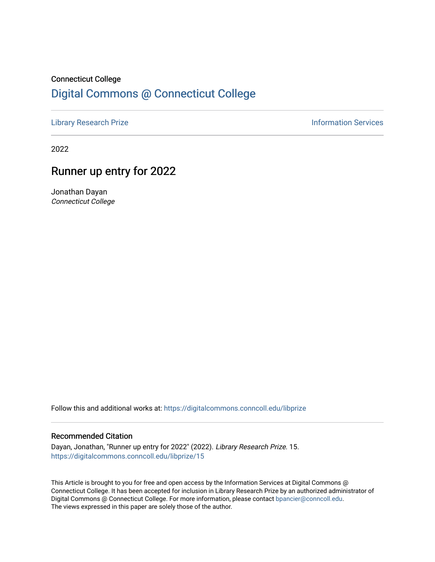# Connecticut College [Digital Commons @ Connecticut College](https://digitalcommons.conncoll.edu/)

[Library Research Prize](https://digitalcommons.conncoll.edu/libprize) **Information Services** 

2022

# Runner up entry for 2022

Jonathan Dayan Connecticut College

Follow this and additional works at: [https://digitalcommons.conncoll.edu/libprize](https://digitalcommons.conncoll.edu/libprize?utm_source=digitalcommons.conncoll.edu%2Flibprize%2F15&utm_medium=PDF&utm_campaign=PDFCoverPages) 

#### Recommended Citation

Dayan, Jonathan, "Runner up entry for 2022" (2022). Library Research Prize. 15. [https://digitalcommons.conncoll.edu/libprize/15](https://digitalcommons.conncoll.edu/libprize/15?utm_source=digitalcommons.conncoll.edu%2Flibprize%2F15&utm_medium=PDF&utm_campaign=PDFCoverPages)

This Article is brought to you for free and open access by the Information Services at Digital Commons @ Connecticut College. It has been accepted for inclusion in Library Research Prize by an authorized administrator of Digital Commons @ Connecticut College. For more information, please contact [bpancier@conncoll.edu](mailto:bpancier@conncoll.edu). The views expressed in this paper are solely those of the author.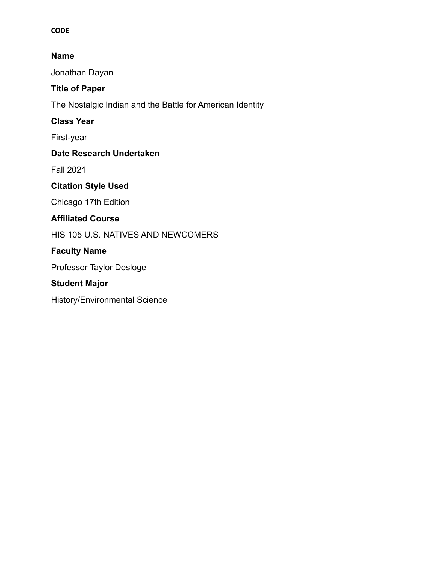#### **CODE**

#### **Name**

Jonathan Dayan

## **Title of Paper**

The Nostalgic Indian and the Battle for American Identity

#### **Class Year**

First-year

#### **Date Research Undertaken**

Fall 2021

## **Citation Style Used**

Chicago 17th Edition

#### **Affiliated Course**

HIS 105 U.S. NATIVES AND NEWCOMERS

## **Faculty Name**

Professor Taylor Desloge

# **Student Major**

History/Environmental Science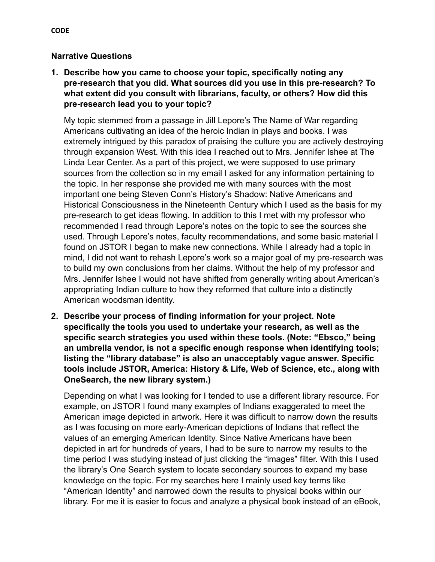#### **Narrative Questions**

**1. Describe how you came to choose your topic, specifically noting any pre-research that you did. What sources did you use in this pre-research? To what extent did you consult with librarians, faculty, or others? How did this pre-research lead you to your topic?**

My topic stemmed from a passage in Jill Lepore's The Name of War regarding Americans cultivating an idea of the heroic Indian in plays and books. I was extremely intrigued by this paradox of praising the culture you are actively destroying through expansion West. With this idea I reached out to Mrs. Jennifer Ishee at The Linda Lear Center. As a part of this project, we were supposed to use primary sources from the collection so in my email I asked for any information pertaining to the topic. In her response she provided me with many sources with the most important one being Steven Conn's History's Shadow: Native Americans and Historical Consciousness in the Nineteenth Century which I used as the basis for my pre-research to get ideas flowing. In addition to this I met with my professor who recommended I read through Lepore's notes on the topic to see the sources she used. Through Lepore's notes, faculty recommendations, and some basic material I found on JSTOR I began to make new connections. While I already had a topic in mind, I did not want to rehash Lepore's work so a major goal of my pre-research was to build my own conclusions from her claims. Without the help of my professor and Mrs. Jennifer Ishee I would not have shifted from generally writing about American's appropriating Indian culture to how they reformed that culture into a distinctly American woodsman identity.

**2. Describe your process of finding information for your project. Note specifically the tools you used to undertake your research, as well as the specific search strategies you used within these tools. (Note: "Ebsco," being an umbrella vendor, is not a specific enough response when identifying tools; listing the "library database" is also an unacceptably vague answer. Specific tools include JSTOR, America: History & Life, Web of Science, etc., along with OneSearch, the new library system.)**

Depending on what I was looking for I tended to use a different library resource. For example, on JSTOR I found many examples of Indians exaggerated to meet the American image depicted in artwork. Here it was difficult to narrow down the results as I was focusing on more early-American depictions of Indians that reflect the values of an emerging American Identity. Since Native Americans have been depicted in art for hundreds of years, I had to be sure to narrow my results to the time period I was studying instead of just clicking the "images" filter. With this I used the library's One Search system to locate secondary sources to expand my base knowledge on the topic. For my searches here I mainly used key terms like "American Identity" and narrowed down the results to physical books within our library. For me it is easier to focus and analyze a physical book instead of an eBook,